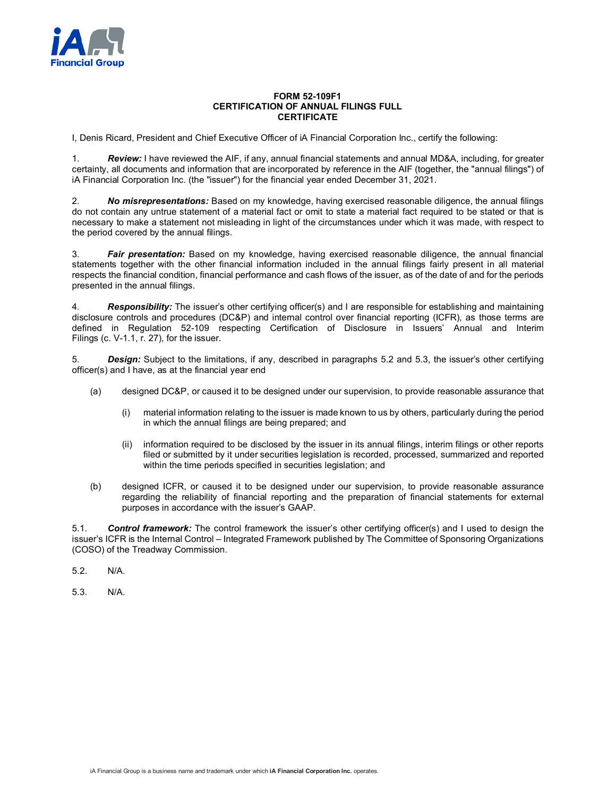

## **FORM 52-109F1 CERTIFICATION OF ANNUAL FILINGS FULL CERTIFICATE**

I, Denis Ricard, President and Chief Executive Officer of iA Financial Corporation Inc., certify the following:

1. *Review:* I have reviewed the AIF, if any, annual financial statements and annual MD&A, including, for greater certainty, all documents and information that are incorporated by reference in the AIF (together, the "annual filings") of iA Financial Corporation Inc. (the "issuer") for the financial year ended December 31, 2021.

2. *No misrepresentations:* Based on my knowledge, having exercised reasonable diligence, the annual filings do not contain any untrue statement of a material fact or omit to state a material fact required to be stated or that is necessary to make a statement not misleading in light of the circumstances under which it was made, with respect to the period covered by the annual filings.

3. *Fair presentation:* Based on my knowledge, having exercised reasonable diligence, the annual financial statements together with the other financial information included in the annual filings fairly present in all material respects the financial condition, financial performance and cash flows of the issuer, as of the date of and for the periods presented in the annual filings.

4. *Responsibility:* The issuer's other certifying officer(s) and I are responsible for establishing and maintaining disclosure controls and procedures (DC&P) and internal control over financial reporting (ICFR), as those terms are defined in Regulation 52-109 respecting Certification of Disclosure in Issuers' Annual and Interim Filings (c. V-1.1, r. 27), for the issuer.

5. *Design:* Subject to the limitations, if any, described in paragraphs 5.2 and 5.3, the issuer's other certifying officer(s) and I have, as at the financial year end

- (a) designed DC&P, or caused it to be designed under our supervision, to provide reasonable assurance that
	- (i) material information relating to the issuer is made known to us by others, particularly during the period in which the annual filings are being prepared; and
	- (ii) information required to be disclosed by the issuer in its annual filings, interim filings or other reports filed or submitted by it under securities legislation is recorded, processed, summarized and reported within the time periods specified in securities legislation; and
- (b) designed ICFR, or caused it to be designed under our supervision, to provide reasonable assurance regarding the reliability of financial reporting and the preparation of financial statements for external purposes in accordance with the issuer's GAAP.

5.1. *Control framework:* The control framework the issuer's other certifying officer(s) and I used to design the issuer's ICFR is the Internal Control – Integrated Framework published by The Committee of Sponsoring Organizations (COSO) of the Treadway Commission.

- 5.2. N/A.
- 5.3. N/A.